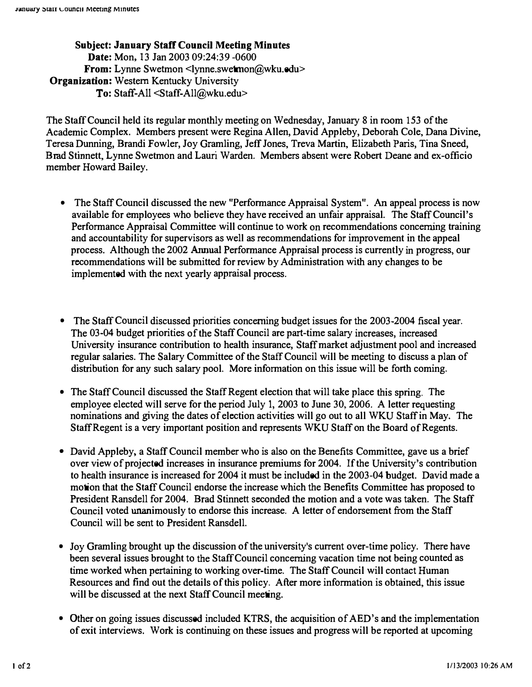Subject: January Staff Council Meeting Minutes Date: Mon, 13 Jan 2003 09:24:39 -0600 From: Lynne Swetmon <lynne.swetmon@wku.edu> Organization: Western Kentucky University To: Staff-All <Staff-All@wku.edu>

The Staff Council held its regular monthly meeting on Wednesday, January 8 in room 153 of the Academic Complex. Members present were Regina Allen, David Appleby, Deborah Cole, Dana Divine, Teresa Dunning, Brandi Fowler, Joy Gramling, Jeff Jones, Treva Martin, Elizabeth Paris, Tina Sneed, Brad Stinnett, Lynne Swetmon and Lauri Warden. Members absent were Robert Deane and ex-officio member Howard Bailey.

- The Staff Council discussed the new "Performance Appraisal System". An appeal process is now available for employees who believe they have received an unfair appraisal. The Staff Council's Performance Appraisal Committee will continue to work on recommendations concerning training and accountability for supervisors as well as recommendations for improvement in the appeal process. Although the 2002 Annual Performance Appraisal process is currently in progress, our recommendations will be submitted for review by Administration with any changes to be implemented with the next yearly appraisal process.
- The Staff Council discussed priorities concerning budget issues for the 2003-2004 fiscal year. The 03-04 budget priorities of the Staff Council are part-time salary increases, increased University insurance contribution to health insurance, Staff market adjustment pool and increased regular salaries. The Salary Committee of the Staff Council will be meeting to discuss a plan of distribution for any such salary pool. More information on this issue will be forth coming.
- The Staff Council discussed the Staff Regent election that will take place this spring. The employee elected will serve for the period July I, 2003 to June 30, 2006. A letter requesting nominations and giving the dates of election activities will go out to all WKU Staff in May. The Staff Regent is a very important position and represents WKU Staff on the Board of Regents.
- David Appleby, a Staff Council member who is also on the Benefits Committee, gave us a brief over view of projected increases in insurance premiums for 2004. lf the University's contribution to health insurance is increased for 2004 it must be included in the 2003-04 budget. David made a motion that the Staff Council endorse the increase which the Benefits Committee has proposed to President Ransdell for 2004. Brad Stinnett seconded the motion and a vote was taken. The Staff Council voted unanimously to endorse this increase. A letter of endorsement from the Staff Council will be sent to President Ransdell.
- Joy Gramling brought up the discussion of the university's current over-time policy. There have been several issues brought to the Staff Council concerning vacation time not being counted as time worked when pertaining to working over-time. The Staff Council will contact Human Resources and find out the details of this policy. After more information is obtained, this issue will be discussed at the next Staff Council meeting.
- Other on going issues discussed included KTRS, the acquisition of AED's and the implementation of exit interviews. Work is continuing on these issues and progress will be reported at upcoming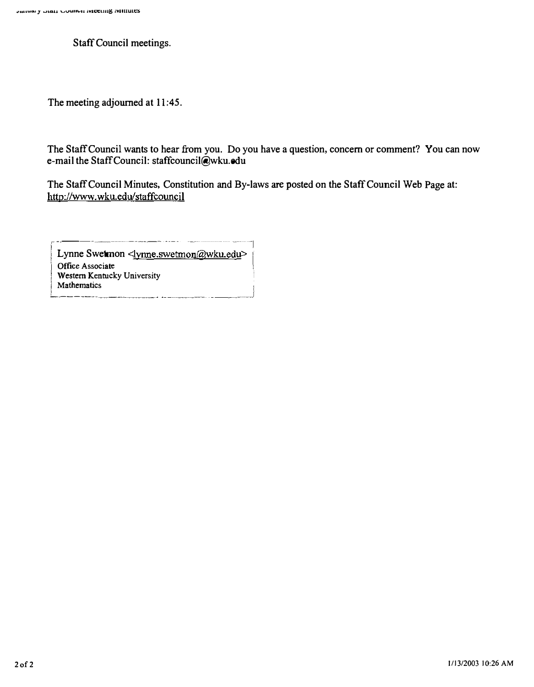Staff Council meetings.

The meeting adjourned at 11:45.

The Staff Council wants to hear from you, Do you have a question, concern or comment? You can now e-mail the Staff Council: staffcouncil@wku.edu

The Staff Council Minutes, Constitution and By-laws are posted on the Staff Council Web Page at: http://www.wku.edu/staffcouncil

---. - .. ---- ·--- -1 Lynne Swetmon <<u>lynne.swetmon@wku.edu</u>> Office Associate Western Kentucky University Mathematics �------.. j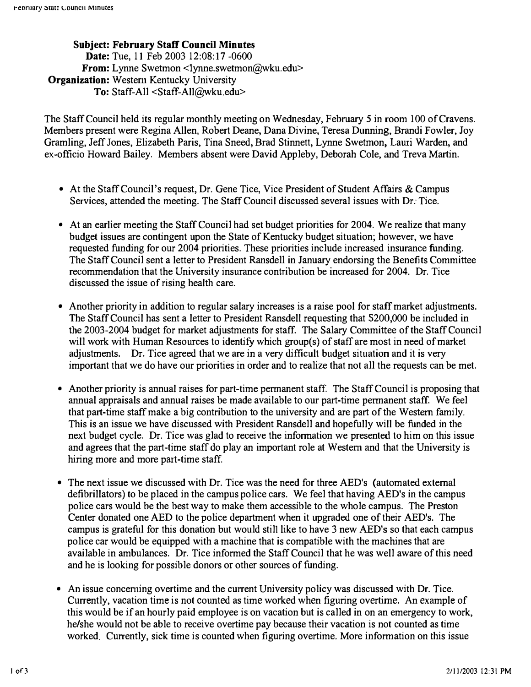Subject: February Staff Council Minutes **Date:** Tue, 11 Feb 2003 12:08:17 -0600 From: Lynne Swetmon <Iynne.swetmon@wku,edu> Organization: Western Kentucky University To: Staff-All <Staff-All@wku.edu>

The Staff Council held its regular monthly meeting on Wednesday, February 5 in room 100 of Cravens. Members present were Regina Allen, Robert Deane, Dana Divine, Teresa Dunning, Brandi Fowler, Joy Gramling, Jeff Jones, Elizabeth Paris, Tina Sneed, Brad Stinnett, Lynne Swetmon, Lauri Warden, and ex-officio Howard Bailey, Members absent were David Appleby, Deborah Cole, and Treva Martin.

- At the Staff Council's request, Dr. Gene Tice, Vice President of Student Affairs & Campus Services, attended the meeting. The Staff Council discussed several issues with Dr: Tice.
- At an earlier meeting the Staff Council had set budget priorities for 2004. We realize that many budget issues are contingent upon the State of Kentucky budget situation; however, we have requested funding for our 2004 priorities. These priorities include increased insurance funding. The Staff Council sent a letter to President Ransdell in January endorsing the Benefits Committee recommendation that the University insurance contribution be increased for 2004. Dr. Tice discussed the issue of rising health care.
- Another priority in addition to regular salary increases is a raise pool for staff market adjustments. The Staff Council has sent a letter to President Ransdell requesting that \$200,000 be included in the 2003-2004 budget for market adjustments for staff. The Salary Committee of the Staff Council will work with Human Resources to identify which group(s) of staff are most in need of market adjustments. Dr. Tice agreed that we are in a very difficult budget situation and it is very important that we do have our priorities in order and to realize that not all the requests can be met.
- Another priority is annual raises for part-time permanent staff. The Staff Council is proposing that annual appraisals and annual raises be made available to our part-time pennanent staff. We feel that part-time staff make a big contribution to the university and are part of the Western family. This is an issue we have discussed with President Ransdell and hopefully will be funded in the next budget cycle. Dr. Tice was glad to receive the infonnation we presented to him on this issue and agrees that the part-time staff do play an important role at Western and that the University is hiring more and more part-time staff.
- The next issue we discussed with Dr. Tice was the need for three AED's (automated external defibrillators) to be placed in the campus police cars. We feel that having AED's in the campus police cars would be the best way to make them accessible to the whole campus. The Preston Center donated one AED to the police department when it upgraded one of their AED's. The campus is grateful for this donation but would still like to have 3 new AED's so that each campus police car would be equipped with a machine that is compatible with the machines that are available in ambulances. Dr, Tice informed the Staff Council that he was well aware of this need and he is looking for possible donors or other sources of funding.
- An issue concerning overtime and the current University policy was discussed with Dr. Tice. Currently, vacation time is not counted as time worked when figuring overtime. An example of this would be if an hourly paid employee is on vacation but is called in on an emergency to work, he/she would not be able to receive overtime pay because their vacation is not counted as time worked. Currently, sick time is counted when figuring overtime. More information on this issue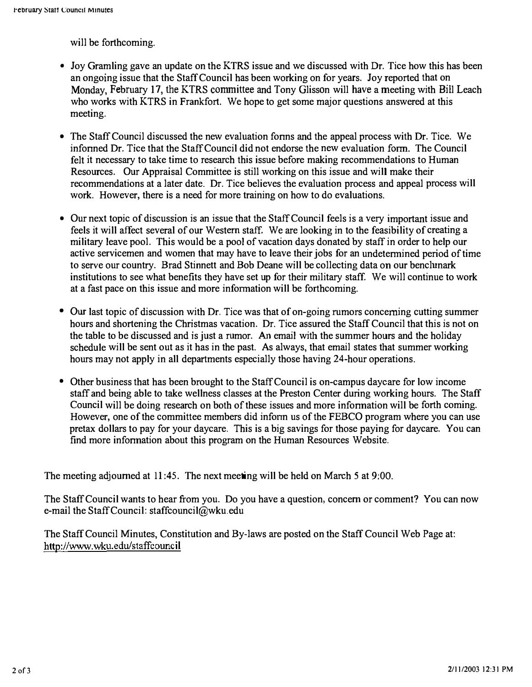will be forthcoming.

- Joy Gramling gave an update on the KTRS issue and we discussed with Dr. Tice how this has been an ongoing issue that the Staff Council has been working on for years. Joy reported that on Monday, February 17, the KTRS committee and Tony Glisson will have a meeting with Bill Leach who works with KTRS in Frankfort. We hope to get some major questions answered at this meeting.
- The Staff Council discussed the new evaluation fonns and the appeal process with Dr. Tice. We informed Dr. Tice that the Staff Council did not endorse the new evaluation form. The Council felt it necessary to take time to research this issue before making recommendations to Human Resources. Our Appraisal Committee is still working on this issue and will make their recommendations at a later date. Dr. Tice believes the evaluation process and appeal process will work. However, there is a need for more training on how to do evaluations.
- Our next topic of discussion is an issue that the Staff Council feels is a very important issue and feels it will affect several of our Western staff. We are looking in to the feasibility of creating a military leave pool. This would be a pool of vacation days donated by staff in order to help our active servicemen and women that may have to leave their jobs for an undetennined period of time to serve our country. Brad Stinnett and Bob Deane will be collecting data on our benclunark institutions to see what benefits they have set up for their military staff. We will continue to work at a fast pace on this issue and more infonnation will be forthcoming.
- Our last topic of discussion with Dr. Tice was that of on-going rumors concerning cutting summer hours and shortening the Christmas vacation. Dr. Tice assured the Staff Council that this is not on the table to be discussed and is just a rumor. An email with the summer hours and the holiday schedule will be sent out as it has in the past. As always, that email states that summer working hours may not apply in all departments especially those having 24-hour operations.
- Other business that has been brought to the Staff Council is on-campus daycare for low income staff and being able to take wellness classes at the Preston Center during working hours. The Staff Council will be doing research on both of these issues and more infonnation will be forth coming. However, one of the committee members did infonn us of the FEBCO program where you can use pretax dollars to pay for your daycare. This is a big savings for those paying for daycare, You can find more infonnation about this program on the Human Resources Website.

The meeting adjourned at 11:45. The next meeting will be held on March 5 at 9:00.

The Staff Council wants to hear from you. Do you have a question, concern or comment? You can now e-mail the Staff Council: staffcouncil@wku.edu

The Staff Council Minutes, Constitution and By-laws are posted on the Staff Council Web Page at: http://www,wku.edulstaffcouncil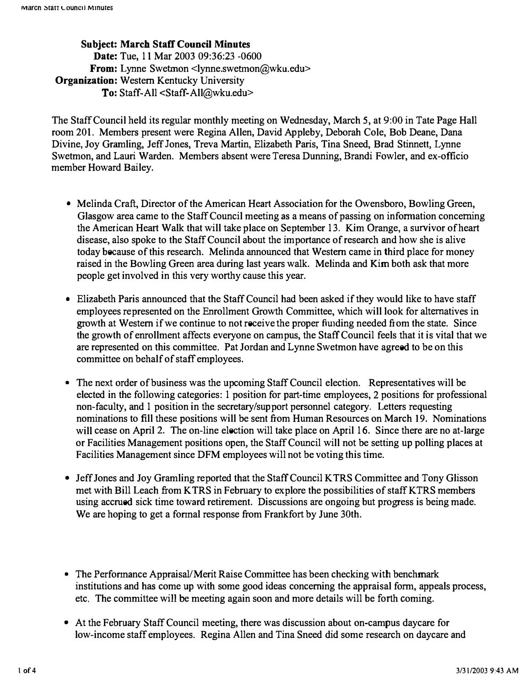SUbject: March Staff Council Minutes Date: Tue, 11 Mar 2003 09:36:23 -0600 From: Lynne Swetmon <lynne.swetmon@wku.edu> Organization: Western Kentucky University To: Staff-All <Staff-All@wku.edu>

The Staff Council held its regular monthly meeting on Wednesday, March 5, at 9:00 in Tate Page Hall room 201. Members present were Regina Allen, David Appleby, Deborah Cole, Bob Deane, Dana Divine, Joy Gramling, Jeff Jones, Treva Martin, Elizabeth Paris, Tina Sneed, Brad Stinnett, Lynne Swetmon, and Lauri Warden. Members absent were Teresa Dunning, Brandi Fowler, and ex-officio member Howard Bailey.

- Melinda Craft, Director of the American Heart Association for the Owensboro, Bowling Green, Glasgow area came to the Staff Council meeting as a means of passing on infonnation concerning the American Heart Walk that will take place on September 13. Kim Orange, a survivor of heart disease, also spoke to the Staff Council about the importance of research and how she is alive today because of this research. Melinda announced that Western came in third place for money raised in the Bowling Green area during last years walk. Melinda and Kim both ask that more people get involved in this very worthy cause this year.
- Elizabeth Paris announced that the Staff Council had been asked if they would like to have staff employees represented on the Enrollment Growth Committee, which will look for alternatives in growth at Western if we continue to not receive the proper funding needed from the state. Since the growth of enrollment affects everyone on campus, the Staff Council feels that it is vital that we are represented on this committee. Pat Jordan and Lynne Swetmon have agreed to be on this committee on behalf of staff employees.
- The next order of business was the upcoming Staff Council election. Representatives will be elected in the following categories: 1 position for part-time employees, 2 positions for professional non-faculty, and 1 position in the secretary/support personnel category. Letters requesting nominations to fill these positions will be sent from Human Resources on March 19. Nominations will cease on April 2. The on-line election will take place on April 16. Since there are no at-large or Facilities Management positions open, the Staff Council will not be setting up polling places at Facilities Management since DFM employees will not be voting this time.
- Jeff Jones and Joy Gramling reported that the Staff Council KTRS Committee and Tony Glisson met with Bill Leach from KTRS in February to explore the possibilities of staff KTRS members using accrued sick time toward retirement. Discussions are ongoing but progress is being made. We are hoping to get a formal response from Frankfort by June 30th.
- The Performance Appraisal/Merit Raise Committee has been checking with benchmark institutions and has come up with some good ideas concerning the appraisal form, appeals process, etc. The committee will be meeting again soon and more details will be forth coming.
- At the February Staff Council meeting, there was discussion about on-campus daycare for low-income staff employees. Regina Allen and Tina Sneed did some research on daycare and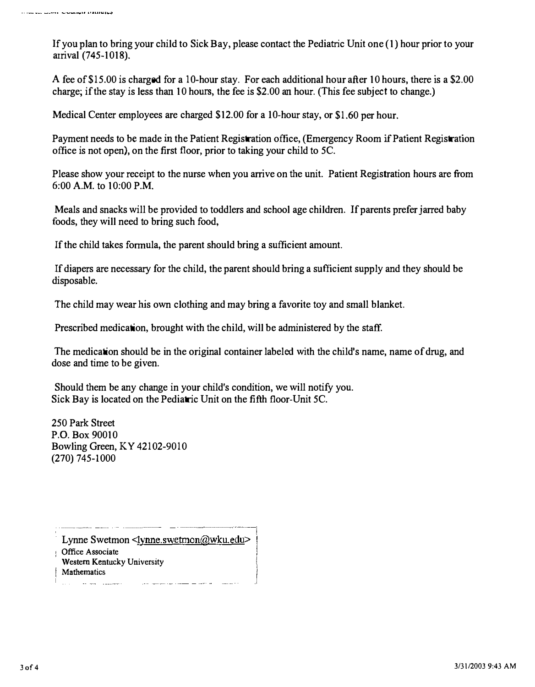Jf you plan to bring your child to Sick Bay, please contact the Pediatric Unit one (1) hour prior to your arrival (745-1018).

A fee of\$15.00 is charged for a IO-hour stay. For each additional hour after 10 hours, there is a \$2.00 charge; if the stay is less than 10 hours, the fee is \$2.00 an hour. (This fee subject to change.)

Medical Center employees are charged \$12.00 for a IO-hour stay, or \$1.60 per hour.

Payment needs to be made in the Patient Registration office, (Emergency Room if Patient Registration office is not open), on the first floor, prior to taking your child to 5C.

Please show your receipt to the nurse when you arrive on the unit. Patient Registration hours are from 6:00 A.M. to 10:00 P.M.

Meals and snacks will be provided to toddlers and school age children. If parents prefer jarred baby foods, they will need to bring such food,

If the child takes fonnula, the parent should bring a sufficient amount.

If diapers are necessary for the child, the parent should bring a sufficient supply and they should be disposable.

The child may wear his own clothing and may bring a favorite toy and small blanket.

Prescribed medication, brought with the child, will be administered by the staff.

The medication should be in the original container labeled with the child's name, name of drug, and dose and time to be given.

Should them be any change in your child's condition, we will notify you. Sick Bay is located on the Pediatric Unit on the fifth floor-Unit 5C.

250 Park Street P.O. Box 90010 Bowling Green, KY 42102-9010 (270) 745-1000

Lynne Swetmon <<u>lynne.swetmon@wku.ed</u>u> Office Associate Western Kentucky University Mathematics and the state of the state of the state of the state of the state of the state of the state of the state of the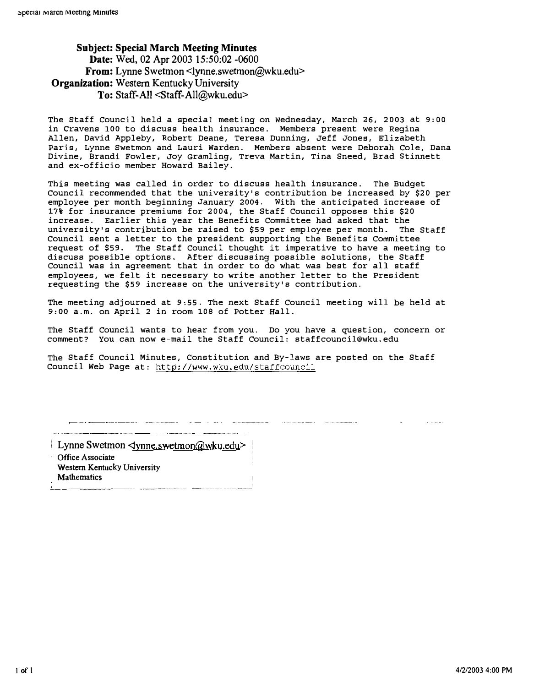## Subject: Special March Meeting Minutes Date: Wed, 02 Apr 2003 15:50:02 -0600 From: Lynne Swetmon <lynne.swetrnon@wku.edu> Organization: Western Kentucky University To: Staff-All <Staff-All@wku.edu>

The Staff Council held a special meeting on wednesday, March 26, 2003 at 9:00 in cravens 100 to discuss health insurance. Members present were Regina Allen, David Appleby, Robert Deane, Teresa Dunning, Jeff Jones, Elizabeth Paris, Lynne Swetmon and Lauri Warden. Members absent were Deborah Cole, Dana Divine, Brandi Fowler, Joy Gramling, Treva Martin, Tina Sneed, Brad stinnett and ex-officio member Howard Bailey.

This meeting was called in order to discuss health insurance. The Budget Council recommended that the university's contribution be increased by \$20 per employee per month beginning January 2004. With the anticipated increase of 17% for insurance premiums for 2004, the Staff Council opposes this \$20 increase. Earlier this year the Benefits Committee had asked that the university's contribution be raised to \$59 per employee per month. The Staff Council sent a letter to the president supporting the Benefits Committee request of \$59. The Staff Council thought it imperative to have a meeting to discuss possible options. After discussing possible solutions, the Staff Council was in agreement that in order to do what was best for all staff employees, we felt it necessary to write another letter to the President requesting the \$59 increase on the university's contribution.

The meeting adjourned at 9:55. The next Staff Council meeting will be held at 9:00 a.m. on April 2 in room 108 of Potter Hall.

The Staff Council wants to hear from you. Do you have a question, concern or comment? You can now e-mail the Staff Council: staffcouncil@wku.edu

The Staff Council Minutes, constitution and By-laws are posted on the Staff Council Web Page at: http://www.wku.edu/staffcouncil

Lynne Swetmon  $\langle \text{ynne}.\text{switch}(\hat{a})\text{wku}.\text{edu}\rangle$ Office Associate Western Kentucky University Mathematics

 $\sim$   $\sim$   $\sim$   $\sim$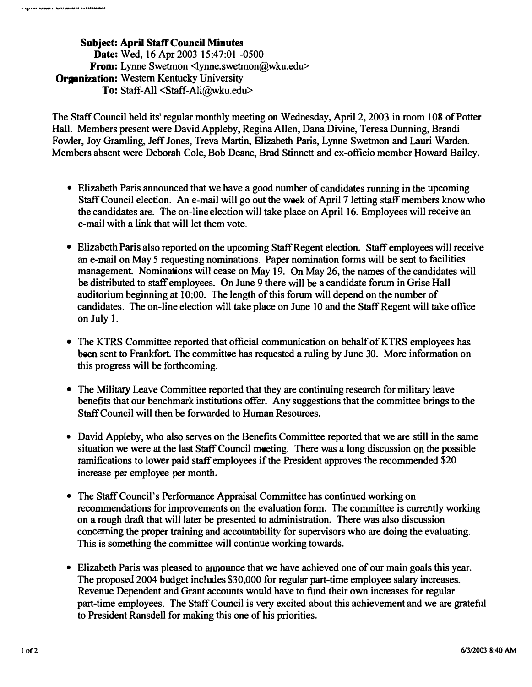Subject: April Staff Council Minutes Date: Wed, 16 Apr 2003 15:47:01 -0500 From: Lynne Swetmon <lynne.swetmon@wku.edu> **Organization:** Western Kentucky University To: Staff-All <Staff-A1I@wku.edu>

The Staff Council held its' regular monthly meeting on Wednesday, April 2, 2003 in room 108 of Potter Hall. Members present were David Appleby. Regina Allen, Dana Divine. Teresa Dunning, Brandi Fowler, Joy Gramling, Jeff Jones, Treva Martin, Elizabeth Paris, Lynne Swetmon and Lauri Warden. Members absent were Deborah Cole, Bob Deane, Brad Stinnett and ex-officio member Howard Bailey.

- Elizabeth Paris announced that we have a good number of candidates running in the upcoming Staff Council election. An e-mail will go out the week of April 7 letting staff members know who the candidates are. The on-line election will take place on April 16. Employees will receive an e-mail with a link that will let them vote.
- Elizabeth Paris also reported on the upcoming Staff Regent election. Staff employees will receive an e-mail on May 5 requesting nominations. Paper nomination forms will be sent to facilities management. Nominations will cease on May 19. On May 26, the names of the candidates will be distributed to staff employees. On June 9 there will be a candidate forum in Grise Hall auditorium beginning at 10:00. The length of this forum will depend on the number of candidates. The on-line election will take place on June 10 and the Staff Regent will take office on July I.
- The KTRS Committee reported that official communication on behalf of KTRS employees has been sent to Frankfort. The committee has requested a ruling by June 30. More information on this progress will be forthcoming.
- The Military Leave Committee reported that they are continuing research for military leave benefits that our benchmark institutions offer. Any suggestions that the committee brings to the Staff Council will then be forwarded to Human Resources.
- David Appleby, who also serves on the Benefits Committee reported that we are still in the same situation we were at the last Staff Council meeting. There was a long discussion on the possible ramifications to lower paid staff employees if the President approves the recommended \$20 increase per employee per month.
- The Staff Council's Performance Appraisal Committee has continued working on recommendations for improvements on the evaluation form. The committee is currently working on a rough draft that will later be presented to administration. There was also discussion concerning the proper training and accountability for supervisors who are doing the evaluating. This is something the committee will continue working towards.
- Elizabeth Paris was pleased to announce that we have achieved one of our main goals this year. The proposed 2004 budget includes \$30,000 for regular part-time employee salary increases. Revenue Dependent and Grant accounts would have to fund their own increases for regular part-time employees. The Staff Council is very excited about this achievement and we are grateful to President Ransdell for making this one of his priorities.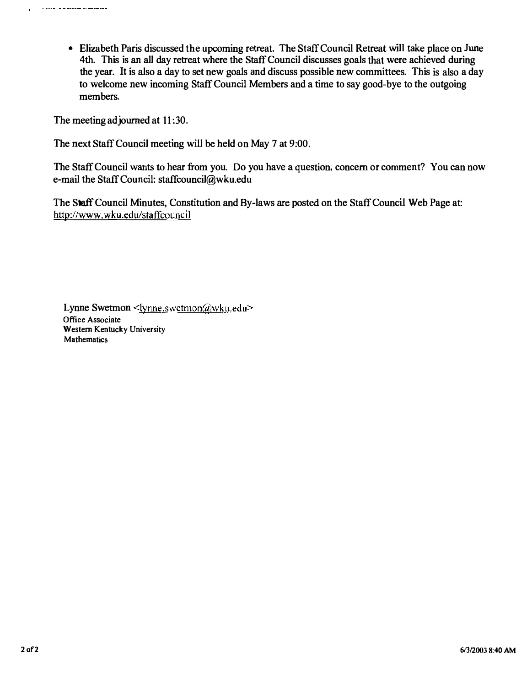• Elizabeth Paris discussed the upcoming retreat. The Staff Council Retreat will take place on June 4th. This is an all day retreat where the Staff Council discusses goals that were achieved during the year. It is also a day to set new goals and discuss possible new committees. This is also a day to welcome new incoming Staff Council Members and a time to say good-bye to the outgoing members.

The meeting adjourned at 11:30.

 $\frac{1}{2}$  , and  $\frac{1}{2}$  is a matrix of matrix  $\frac{1}{2}$ 

J.

The next Staff Council meeting will be held on May 7 at 9:00.

The Staff Council wants to hear from you. Do you have a question, concern or comment? You can now e-mail the Staff Council: staffcouncil@wku.edu

The Staff Council Minutes, Constitution and By-laws are posted on the Staff Council Web Page at: http://www.wku.edu/staffcouncil

Lynne Swetmon <lynne.swetmon@wku.edu> Office Associate Western Kentucky University Mathematics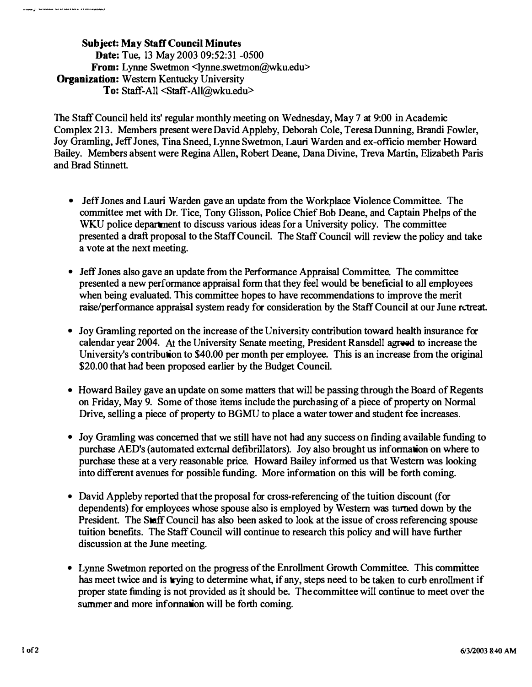Subject: May Staff Council Minute. Date: Tue, 13 May 2003 09:52:31 -0500 From: Lynne Swetmon <lynne.swetmon@wku.edu> Organization: Western Kentucky University To: Staff -All <Staff-Al1@wku.edu>

The Staff Council held its' regular monthly meeting on Wednesday, May 7 at 9:00 in Academic Complex 213. Members present were David Appleby, Deborah Cole, Teresa Dunning, Brandi Fowler, Joy Gramling, Jeff Jones, Tina Sneed, Lynne Swetmon, Lauri Warden and ex-officio member Howard Bailey. Members absent were Regina Allen, Robert Deane, Dana Divine. Treva Martin, Elizabeth Paris and Brad Stinnett.

- Jeff Jones and Lauri Warden gave an update from the Workplace Violence Committee. The committee met with Dr. Tice, Tony Glisson, Police Chief Bob Deane, and Captain Phelps of the WKU police department to discuss various ideas for a University policy. The committee presented a draft proposal to the Staff Council. The Staff Council will review the policy and take a vote at the next meeting.
- Jeff Jones also gave an update from the Performance Appraisal Committee. The committee presented a new performance appraisal form that they feel would be beneficial to all employees when being evaluated. This committee hopes to have recommendations to improve the merit raise/performance appraisal system ready for consideration by the Staff Council at our June retreat.
- Joy Gramling reported on the increase of the University contribution toward health insurance for calendar year 2004. At the University Senate meeting, President Ransdell agreed to increase the University's contribution to \$40.00 per month per employee. This is an increase from the original \$20.00 that had been proposed earlier by the Budget Council.
- Howard Bailey gave an update on some matters that will be passing through the Board of Regents on Friday, May 9. Some of those items include the purchasing of a piece of property on Normal Drive, selling a piece of property to BGMU to place a water tower and student fee increases.
- Joy Gramling was concerned that we still have not had any success on finding available funding to purchase AED's (automated external defibrillators). Joy also brought us infonnation on where to purchase these at a very reasonable price. Howard Bailey informed us that Western was looking into different avenues for possible funding. More information on this will be forth coming.
- David Appleby reported that the proposal for cross-referencing of the tuition discount (for dependents) for employees whose spouse also is employed by Western was turned down by the President. The Staff Council has also been asked to look at the issue of cross referencing spouse tuition benefits. The Staff Council will continue to research this policy and will have further discussion at the June meeting.
- Lynne Swetmon reported on the progress of the Enrollment Growth Committee. This committee has meet twice and is trying to determine what, if any, steps need to be taken to curb enrollment if proper state funding is not provided as it should be. The committee will continue to meet over the summer and more information will be forth coming.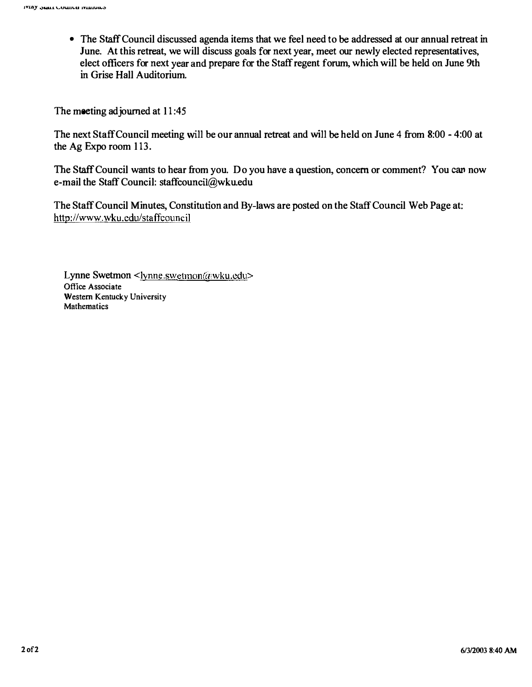• The Staff Council discussed agenda items that we feel need to be addressed at our annual retreat in June. At this retreat, we will discuss goals for next year, meet our newly elected representatives, elect officers for next year and prepare for the Staff regent forum, which will be held on June 9th in Grise Hall Auditorium.

The meeting adjourned at 11:45

The next Staff Council meeting will be our annual retreat and will be held on June 4 from 8:00 - 4:00 at the Ag Expo room 113.

The Staff Council wants to hear from you. Do you have a question, concern or comment? You can now e-mail the Staff Council: staffcouncil@wku.edu

The Staff Council Minutes, Constitution and By-laws are posted on the Staff Council Web Page at: http://www.wku.edu/staffcounciJ

Lynne Swetmon <lynne.swetmon@wku.edu> Office Associate Western Kentucky University Mathematics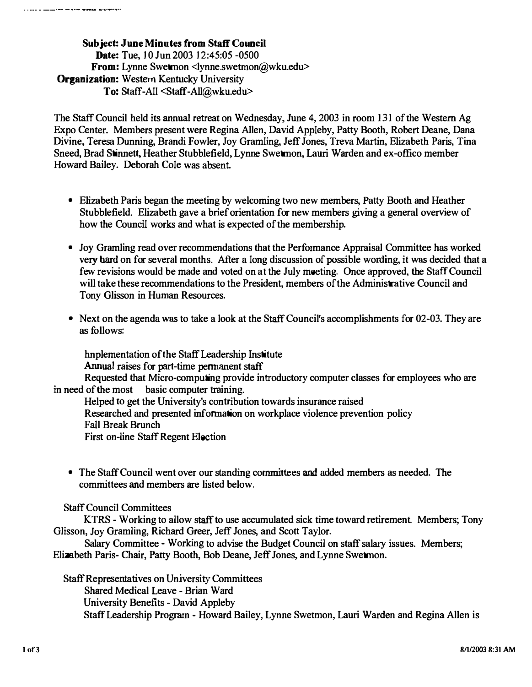From: Lynne Swetmon <lynne.swetmon@wku.edu> Organization: Western Kentucky University To: Staff-All <Staff-All@wku.edu>

The Staff Council held its annual retreat on Wednesday, June 4, 2003 in room 131 of the Western Ag Expo Center. Members present were Regina Allen, David Appleby, Patty Booth, Robert Deane, Dana Divine, Teresa Dunning, Brandi Fowler, Joy Gramling, Jeff Jones, Treva Martin, Elizabeth Paris, Tina Sneed, Brad Stinnett, Heather Stubblefield, Lynne Swetmon, Lauri Warden and ex-offico member Howard Bailey. Deborah Cole was absent.

- Elizabeth Paris began the meeting by welcoming two new members, Patty Booth and Heather Stubblefield. Elizabeth gave a brief orientation for new members giving a general overview of how the Council works and what is expected of the membership.
- Joy Gramling read over recommendations that the Performance Appraisal Committee has worked very bard on for several months. After a long discussion of possible wording, it was decided that a few revisions would be made and voted on at the July meeting. Once approved, the Staff Council will take these recommendations to the President, members of the Administrative Council and Tony Glisson in Human Resources.
- Next on the agenda was to take a look at the Staff Council's accomplishments for 02-03. They are as follows:

hnplementation of the Staff Leadership Institute Annua1 raises for part-time pennanent staff Requested that Micro-computing provide introductory computer classes for employees who are in need of the most basic computer training. Helped to get the University's contribution towards insurance raised Researched and presented infonnation on workplace violence prevention policy Fail Break Brunch First on-line Staff Regent Election

• The Staff Council went over our standing committees and added members as needed. The committees and members are listed below.

## Staff Council Committees

KTRS - Working to allow staff to use accumulated sick time toward retirement. Members; Tony Glisson, Joy Gramling, Richard Greer, Jeff Jones, and Scott Taylor.

Salary Committee - Working to advise the Budget Council on staff salary issues. Members; Elizabeth Paris- Chair, Patty Booth, Bob Deane, Jeff Jones, and Lynne Swetmon.

Staff Representatives on University Committees Shared Medical Leave - Brian Ward University Benefits - David Appleby Staff Leadership Program - Howard Bailey, Lynne Swetmon, Lauri Warden and Regina Allen is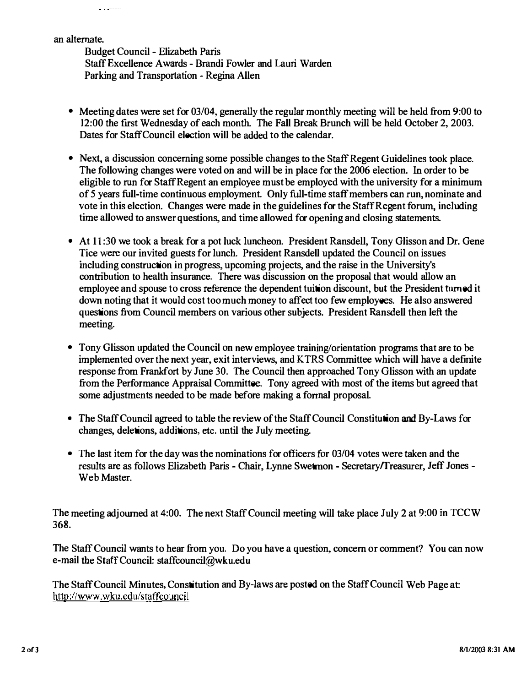an alternate.

وبالمستران ال

Budget Council - Elizabeth Paris Staff Excellence Awards - Brandi Fowler and Lauri Warden Parking and Transportation - Regina Allen

- Meeting dates were set for 03/04, generally the regular monthly meeting will be held from 9:00 to 12:00 the first Wednesday of each month. The Fall Break Brunch will be held October 2, 2003. Dates for StaffCouncil election will be added to the calendar.
- Next, a discussion concerning some possible changes to the Staff Regent Guidelines took place. The following changes were voted on and will be in place for the 2006 election. In order to be eligible to run for Staff Regent an employee must be employed with the university for a minimum of 5 years full-time continuous employment. Only full-time staff members can run, nominate and vote in this election. Changes were made in the guidelines for the Staff Regent forum, including time allowed to answer questions, and time allowed for opening and closing statements.
- At 11:30 we took a break for a pot luck luncheon. President Ransdell, Tony Glisson and Dr. Gene Tice were our invited guests for lunch. President Ransdell updated the Council on issues including construction in progress, upcoming projects, and the raise in the University's contribution to health insurance. There was discussion on the proposal that would allow an employee and spouse to cross reference the dependent tuition discount, but the President turned it down noting that it would cost too much money to affect too few employees. He also answered questions from Council members on various other subjects. President Ransdell then left the meeting.
- Tony Glisson updated the Council on new employee training/orientation programs that are to be implemented over the next year, exit interviews, and KTRS Committee which will have a definite response from Frankfort by June 30. The Council then approached Tony Glisson with an update from the Performance Appraisal Committee. Tony agreed with most of the items but agreed that some adjustments needed to be made before making a fonnal proposal.
- The Staff Council agreed to table the review of the Staff Council Constitution and By-Laws for changes, deletions, additions, etc. until the July meeting.
- The last item for the day was the nominations for officers for 03/04 votes were taken and the results are as follows Elizabeth Paris - Chair, Lynne Swetmon - Secretaryffreasurer, Jeff Jones - Web Master.

The meeting adjourned at 4:00. The next Staff Council meeting will take place July 2 at 9:00 in TCCW 368.

The Staff Council wants to hear from you. Do you have a question, concern or comment? You can now e-mail the Staff Council: staffcouncil@wku.edu

The Staff Council Minutes. Constitution and By-laws are posted on the Staff Council Web Page at: http://www.wku.edu/staffcouncil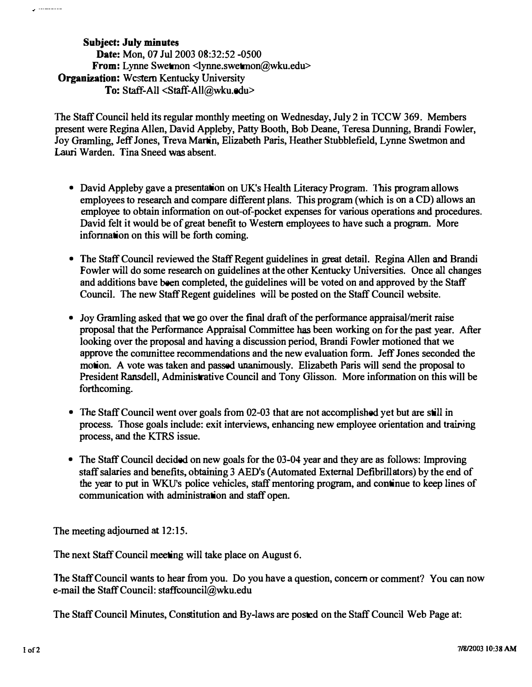## Subject: July minute. Date: Mon, 07 Jul 2003 08:32:52 -0500 From: Lynne Swetmon <lynne.swetmon@wku.edu> **Organization: Western Kentucky University** To: Staff-All <Staff-A1I@wku.edu>

The Staff Council held its regular monthly meeting on Wednesday, July 2 in TCCW 369. Members present were Regina Allen, David Appleby, Patty Booth, Bob Deane, Teresa Dunning, Brandi Fowler, Joy Gramling, Jeff Jones, Treva Martin, Elizabeth Paris, Heather Stubblefield, Lynne Swetmon and Lanri Warden. Tina Sneed was absent.

- David Appleby gave a presentation on UK's Health Literacy Program. This program allows employees to research and compare different plans. This program (which is on a CD) allows an employee to obtain information on out-of-pocket expenses for various operations and procedures. David felt it would be of great benefit to Western employees to have such a program. More information on this will be forth coming.
- The Staff Council reviewed the Staff Regent guidelines in great detail. Regina Allen and Brandi Fowler will do some research on guidelines at the other Kentucky Universities. Once all changes and additions bave been completed, the guidelines will be voted on and approved by the Staff Council. The new Staff Regent guidelines will be posted on the Staff Council website.
- Joy Gramling asked that we go over the final draft of the performance appraisal/merit raise proposal that the Performance Appraisal Committee bas been working on for the past year. After looking over the proposal and having a discussion period, Brandi Fowler motioned that we approve the conunittee recommendations and the new evaluation form. Jeff Jones seconded the motion. A vote was taken and passed unanimously. Elizabeth Paris will send the proposal to President Ransdell, Administrative Council and Tony Glisson. More information on this will be forthcoming.
- The Staff Council went over goals from 02-03 that are not accomplished yet but are still in process. Those goals include: exit interviews, enhancing new employee orientation and training process, and the KTRS issue.
- The Staff Council decided on new goals for the 03-04 year and they are as follows: Improving staff salaries and henefits, obtaining 3 AED's (Automated External Defibrillators) by the end of the year to put in WKU's police vehicles, staff mentoring program, and continue to keep lines of communication with administration and staff open.

The meeting adjourned at 12:15.

The next Staff Council meeting will take place on August 6.

The Staff Council wants to hear from you. Do you have a question, concern or comment? You can now e-mail the Staff Council: staffcouncil@wku.edu

The Staff Council Minutes, Constitution and By-laws are posted on the Staff Council Web Page at: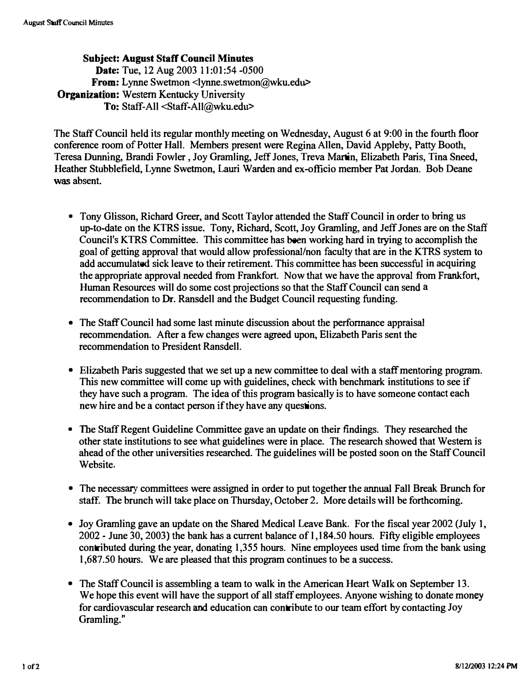Subject: August Staff Council Minutes Date: Tue, 12 Aug 2003 11:01:54 -0500 From: Lynne Swetmon <lynne.swetmon@wku.edu> Organization: Western Kentucky University To: Staff-All <Staff-AII@wku.edu>

The Staff Council held its regular monthly meeting on Wednesday, August 6 at 9:00 in the fourth floor conference room of Potter Hall. Members present were Regina Allen, David Appleby, Patty Booth, Teresa Dunning. Brandi Fowler , Joy Gramling, Jeff Jones, Treva Martin, Elizabeth Paris, Tina Sneed, Heather Stubblefield, Lynne Swetmon, Lauri Warden and ex-officio member Pat Jordan. Bob Deane was absent.

- Tony Glisson, Richard Greer, and Scott Taylor attended the Staff Council in order to bring us up-to-date on the KTRS issue. Tony, Richard, Scott, Joy Gramling, and Jeff Jones are on the Staff Council's KTRS Committee. This committee has been working hard in trying to accomplish the goal of getting approval that would allow professional/non faculty that are in the KTRS system to add accumulated sick leave to their retirement. This committee has been successful in acquiring the appropriate approval needed from Frankfort. Now that we have the approval from Frankfort, Human Resources will do some cost projections so that the Staff Council can send a recommendation to Dr. Ransdell and the Budget Council requesting funding.
- The Staff Council had some last minute discussion about the performance appraisal recommendation. After a few changes were agreed upon, Elizabeth Paris sent the recommendation to President Ransdell.
- Elizabeth Paris suggested that we set up a new committee to deal with a staff mentoring program. This new committee will come up with guidelines, check with benchmark institutions to see if they have such a program. The idea of this program basically is to have someone contact each new hire and be a contact person if they have any questions.
- The Staff Regent Guideline Committee gave an update on their findings. They researched the other state institutions to see what guidelines were in place. The research showed that Western is ahead of the other universities researched. The guidelines will be posted soon on the Staff Council Website.
- The necessary committees were assigned in order to put together the annual Fall Break Brunch for staff. The brunch will take place on Thursday, October 2. More details will be forthcoming.
- Joy Gramling gave an update on the Shared Medical Leave Bank. For the fiscal year 2002 (July 1,  $2002$  - June 30, 2003) the bank has a current balance of 1,184.50 hours. Fifty eligible employees contributed during the year, donating 1,355 hours. Nine employees used time from the bank using 1,687.50 hours. We are pleased that this program continues to be a success.
- The Staff Council is assembling a team to walk in the American Heart Walk on September 13. We hope this event will have the support of all staff employees. Anyone wishing to donate money for cardiovascular research and education can contribute to our team effort by contacting Joy Gramling."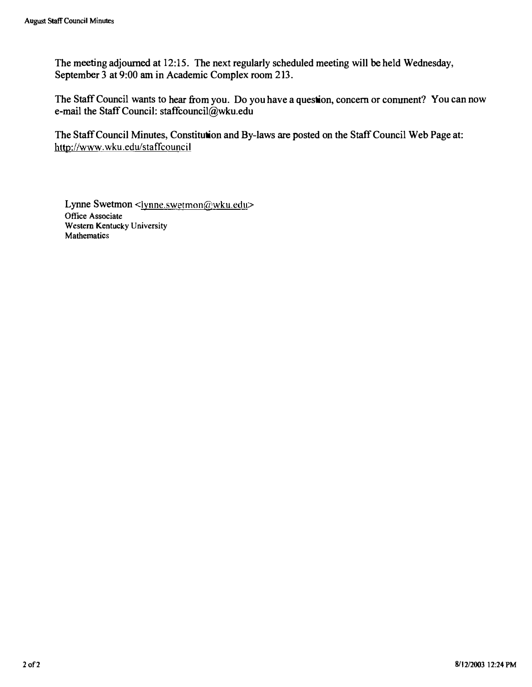The meeting adjourned at 12:15. The next regularly scheduled meeting will be held Wednesday. September 3 at 9:00 am in Academic Complex room 213.

The Staff Council wants to hear from you. Do you have a question, concern or conunent? You can now e-mail the Staff Council: staffcouncil@wku.edu

The Staff Council Minutes, Constitution and By-laws are posted on the Staff Council Web Page at: http://www.wku.edu/staffcouncil

Lynne Swetmon <Ivnne.swetmon@wku.edu> Office Associate Western Kentucky University Mathematics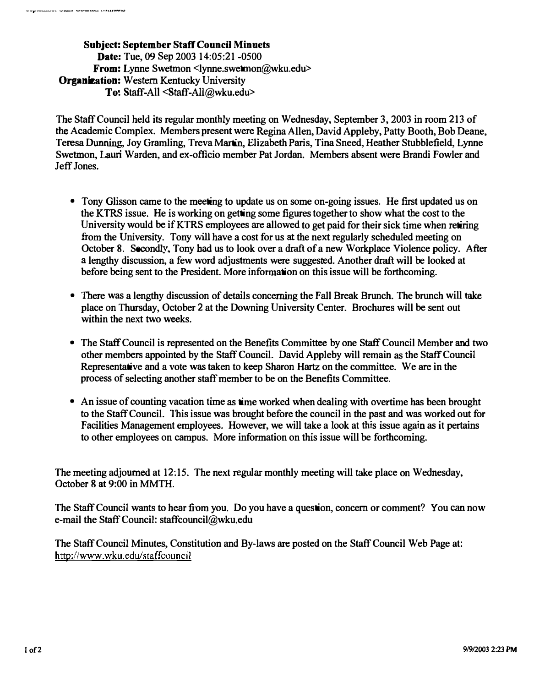Subject: September Staff Council Minuets Date: Tue, 09 Sep 2003 14:05:21 -0500 From: Lynne Swetmon <lynne.swetmon@wku.edu> **Organization:** Western Kentucky University To: Staff-All <Staff-All@wku.edu>

The Staff Council held its regular monthly meeting on Wednesday, September 3, 2003 in room 213 of the Academic Complex. Members present were Regina Allen, David Appleby, Patty Booth, Bob Deane, Teresa Dunning, Joy Gramling, Treva Martin, Elizabeth Paris, Tina Sneed, Heather Stubblefield, Lynne Swetmon, Lauri Warden, and ex-officio member Pat Jordan. Members absent were Brandi Fowler and Jeff Jones.

- Tony Glisson came to the meeting to update us on some on-going issues. He first updated us on the KTRS issue. He is working on getting some figures together to show what the cost to the University would be if KTRS employees are allowed to get paid for their sick time when retiring from the University. Tony will have a cost for us at the next regularly scheduled meeting on October 8. Secondly, Tony had us to look over a draft of a new Workplace Violence policy. After a lengthy discussion, a few word adjustments were suggested. Another draft will be looked at before being sent to the President. More information on this issue will be forthcoming.
- There was a lengthy discussion of details concerning the Fall Break Brunch. The brunch will take place on Thursday, October 2 at the Downing University Center. Brochures will be sent out within the next two weeks.
- The Staff Council is represented on the Benefits Committee by one Staff Council Member and two other members appointed by the Staff Council. David Appleby will remain as the Staff Council Representative and a vote was taken to keep Sharon Hartz on the committee. We are in the process of selecting another staff member to be on the Benefits Committee.
- An issue of counting vacation time as time worked when dealing with overtime has been brought to the Staff Council. 1bis issue was brought before the council in the past and was worked out for Facilities Management employees. However, we will take a look at this issue again as it pertains to other employees on campus. More information on this issue will be forthcoming.

The meeting adjourned at 12:15. The next regular monthly meeting will take place on Wednesday, October 8 at 9:00 in MMTH.

The Staff Council wants to hear from you. Do you have a question, concern or comment? You can now e-mail the Staff Council: staffcouncil@wku.edu

The Staff Council Minutes, Constitution and By-laws are posted on the Staff Council Web Page at: http://www.wku.edu/staffcouncil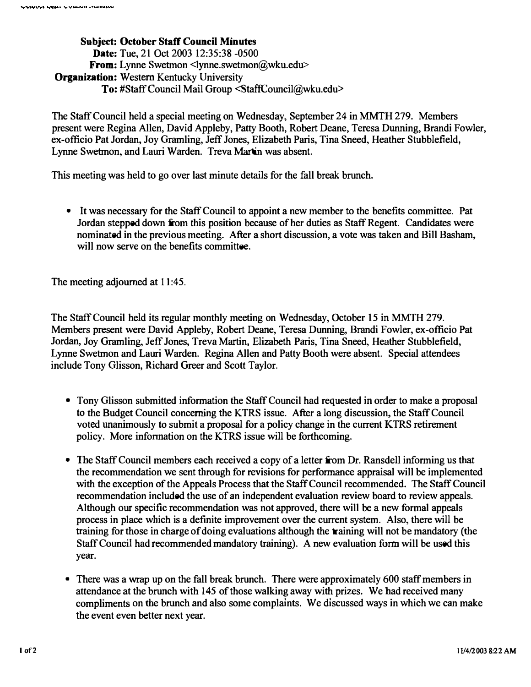SUbject: October Staff Council Minutes Date: Tue, 21 Oct 2003 12:35:38 -0500 From: Lynne Swetmon <lynne.swetmon@wku.edu> **Organization:** Western Kentucky University To: #Staff Council Mail Group <StaffCouncil@wku.edu>

The Staff Council held a special meeting on Wednesday, September 24 in MMTH 279. Members present were Regina Allen, David Appleby, Patty Booth, Robert Deane, Teresa Dunning. Brandi Fowler, ex-officio Pat Jordan, Joy Gramling, Jeff Jones, Elizabeth Paris, Tina Sneed, Heather Stubblefield, Lynne Swetmon. and Lauri Warden. Treva Martin was absent.

This meeting was held to go over last minute details for the fall break brunch.

• It was necessary for the Staff Council to appoint a new member to the benefits committee. Pat Jordan stepped down from this position because of her duties as Staff Regent. Candidates were nominated in the previous meeting. After a short discussion, a vote was taken and Bill Basham. will now serve on the benefits committee.

The meeting adjourned at 11:45.

The Staff Council held its regular monthly meeting on Wednesday, October 15 in MMTH 279. Members present were David Appleby, Robert Deane, Teresa Dunning, Brandi Fowler, ex-officio Pat Jordan, Joy Gramling, Jeff Jones, Treva Martin, Elizabeth Paris, Tina Sneed, Heather Stubblefield, Lynne Swetmon and Lauri Warden. Regina Allen and Patty Booth were absent. Special attendees include Tony Glisson, Richard Greer and Scott Taylor.

- Tony Glisson submitted information the Staff Council had requested in order to make a proposal to the Budget Council concerning the KTRS issue. After a long discussion. the Staff Council voted unanimously to submit a proposal for a policy change in the current KTRS retirement policy. More infonnation on the KTRS issue will be forthcoming.
- The Staff Council members each received a copy of a letter from Dr. Ransdell informing us that the recommendation we sent through for revisions for performance appraisal will be implemented with the exception of the Appeals Process that the Staff Council recommended. The Staff Council recommendation included the use of an independent evaluation review board to review appeals. Although our specific recommendation was not approved, there will be a new formal appeals process in place which is a definite improvement over the current system. Also, there will be training for those in charge of doing evaluations although the training will not be mandatory (the Staff Council had recommended mandatory training). A new evaluation form will be used this year.
- There was a wrap up on the fall break brunch. There were approximately 600 staff members in attendance at the brunch with 145 of those walking away with prizes. We had received many compliments on the brunch and also some complaints. We discussed ways in which we can make the event even better next year.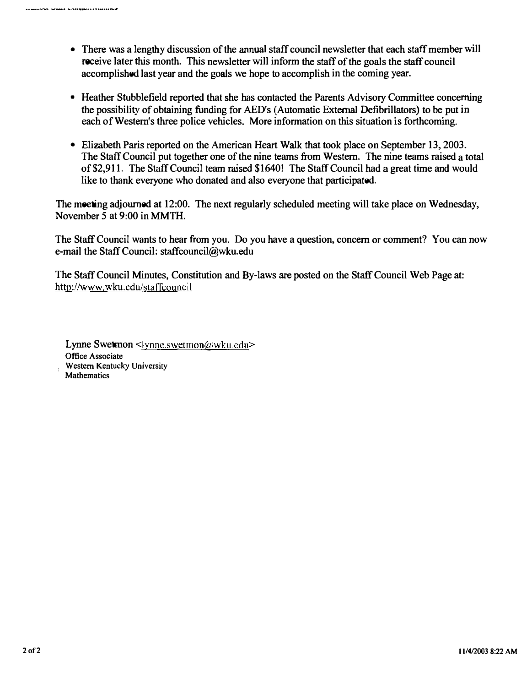- There was a lengthy discussion of the annual staff council newsletter that each staff member will receive later this month. This newsletter will inform the staff of the goals the staff council accomplished last year and the goals we hope to accomplish in the coming year.
- Heather Stubblefield reported that she has contacted the Parents Advisory Committee concerning the possibility of obtaining funding for AED's (Automatic External Defibrillators) to be put in each of Western's three police vehicles. More information on this situation is forthcoming.
- Elizabeth Paris reported on the American Heart Walk that took place on September 13, 2003. The Staff Council put together one of the nine teams from Western. The nine teams raised a total of\$2,911. The Staff Council team raised \$1640! The Staff Council had a great time and would like to thank everyone who donated and also everyone that participated.

The meeting adjourned at 12:00. The next regularly scheduled meeting will take place on Wednesday, November 5 at 9:00 in MMTH.

The Staff Council wants to hear from you. Do you have a question, concern or comment? You can now e-mail the Staff Council: staffcouncil@wku.edu

The Staff Council Minutes, Constitution and By-laws are posted on the Staff Council Web Page at: http://www.wku.edu/staffcouncil

Lynne Swetmon <lynne.swetmon@wku.edu> Office Associate Western Kentucky University **Mathematics**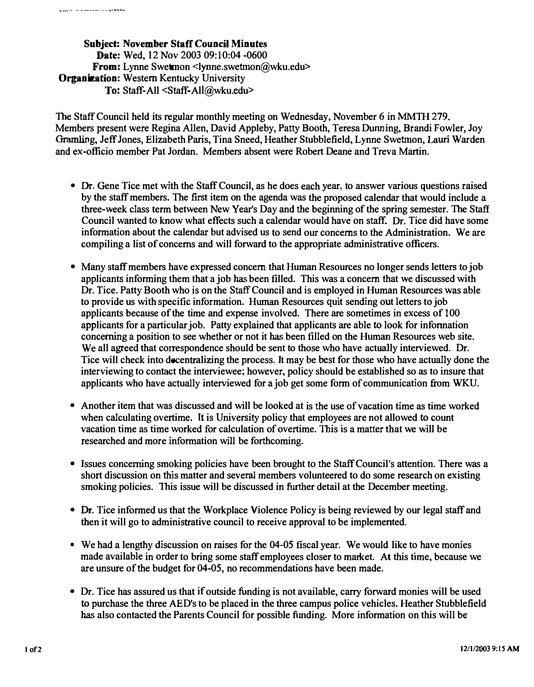Subject: November Staff Council Minutes Date: Wed, 12 Nov 2003 09:10:04 -0600 From: Lynne Swetmon <lynne.swetmon@wku.edu> **Organization:** Western Kentucky University To: Staff-All <Staff-All@wku.edu>

The Staff Council held its regular monthly meeting on Wednesday. November 6 in MMTH 279. Members present were Regina Allen, David Appleby, Patty Booth, Teresa Dunning, Brandi Fowler, Joy Gramling, Jeff Jones, Elizabeth Paris, Tina Sneed, Heather Stubblefield, Lynne Swetmon, Lauri Warden and ex-officio member Pat Jordan. Members absent were Robert Deane and Treva Martin.

- Dr. Gene Tice met with the Staff Council, as he does each year, to answer various questions raised by the staff members. The first item on the agenda was the proposed calendar that would include a three-week class term between New Year's Day and the beginning of the spring semester. The Staff Council wanted to know what effects such a calendar would have on staff. Dr. Tice did have some information about the calendar but advised us to send our concerns to the Administration. We are compiling a list of concerns and will forward to the appropriate administrative officers.
- Many staff members have expressed concern that Human Resources no longer sends letters to job applicants informing them that a job has been filled. This was a concern that we discussed with Dr. Tice. Patty Booth who is on the Staff Council and is employed in Human Resources was able to provide us with specific information. Human Resources quit sending out letters to job applicants because of the time and expense involved. There are sometimes in excess of 100 applicants for a particular job. Patty explained that applicants are able to look for infonnation concerning a position to see whether or not it has been filled on the Human Resources web site. We all agreed that correspondence should be sent to those who have actually interviewed. Dr. Tice will check into decentralizing the process. It may be best for those who have actually done the interviewing to contact the interviewee; however, policy should be established so as to insure that applicants who have actually interviewed for a job get some form of communication from WKU.
- Another item that was discussed and will be looked at is the use of vacation time as time worked when calculating overtime. It is University policy that employees are not allowed to count vacation time as time worked for calculation of overtime. This is a matter that we will be researched and more information will be forthcoming.
- Issues concerning smoking policies have been brought to the Staff Council's attention. There was a short discussion on this matter and several members volunteered to do some research on existing smoking policies. This issue will be discussed in further detail at the December meeting.
- Dr. Tice informed us that the Workplace Violence Policy is being reviewed by our legal staff and then it will go to administrative council to receive approval to be implemented.
- We had a lengthy discussion on raises for the 04-05 fiscal year. We would like to have monies made available in order to bring some staff employees closer to market. At this time, because we are unsure of the budget for 04-05, no recommendations have been made.
- Dr. Tice has assured us that if outside funding is not available, carry forward monies will be used to purchase the three AED's to be placed in the three campus police vehicles. Heather Stubblefield has also contacted the Parents Council for possible funding. More information on this will be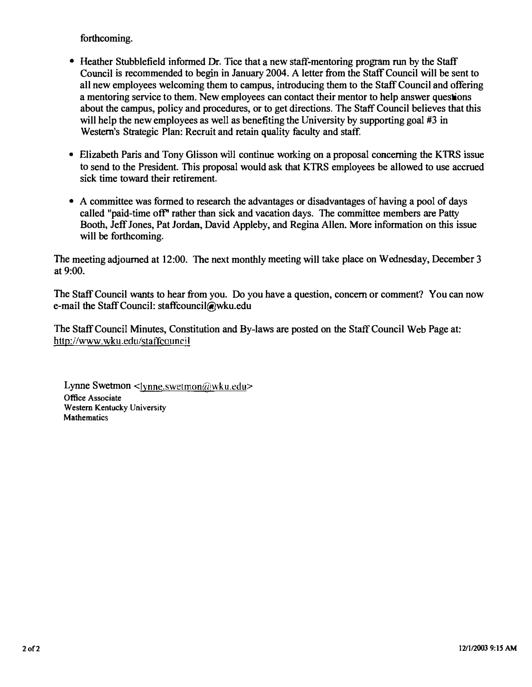forthcoming.

- Heather Stubblefield informed Dr. Tice that a new staff-mentoring program run by the Staff Council is recommended to begin in January 2004. A letter from the Staff Council will be sent to all new employees welcoming them to campus, introducing them to the Staff Council and offering a mentoring service to them. New employees can contact their mentor to help answer questions about the campus, policy and procedures, or to get directions. The Staff Council believes that this will help the new employees as well as benefiting the University by supporting goal #3 in Western's Strategic Plan: Recruit and retain quality faculty and staff.
- Elizabeth Paris and Tony Glisson will continue working on a proposal concerning the KTRS issue to send to the President. This proposal would ask that KTRS employees be allowed to use accrued sick time toward their retirement.
- A committee was formed to research the advantages or disadvantages of having a pool of days called "paid-time off" rather than sick and vacation days. The committee members are Patty Booth, Jeff Jones, Pat Jordan, David Appleby, and Regina Allen. More information on this issue will be forthcoming.

The meeting adjourned at 12:00. The next monthly meeting will take place on Wednesday, December 3 at 9:00.

The Staff Council wants to hear from you. Do you have a question, concern or comment? You can now e-mail the Staff Council: staffcouncil@wku.edu

The Staff Council Minutes, Constitution and By-laws are posted on the Staff Council Web Page at: http://www.wku.edu/staffcouncil

Lynne Swetmon <Iynne.swetmon@wku.edu> Office Associate Western Kentucky University **Mathematics**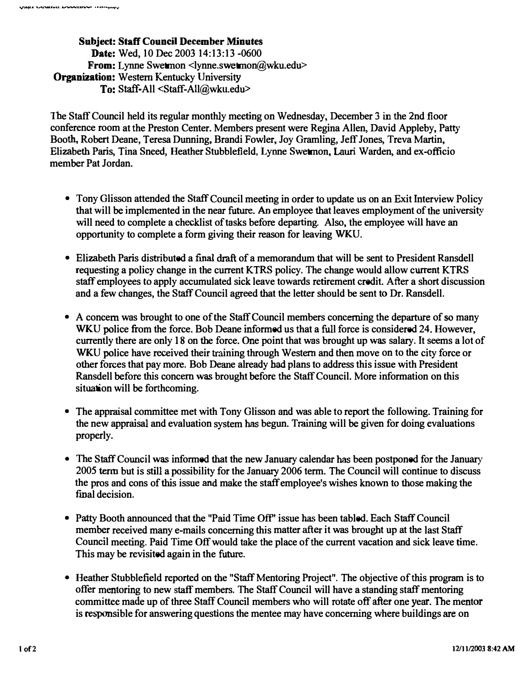SUbject: Staff Council December Minutes Date: Wed, 10 Dec 2003 14:13:13 -0600 From: Lynne Swetmon <lynne.swetmon@wku.edu> Organization: Western Kentucky University To: Staff-All <Staff-All@wklLedu>

The Staff Council held its regular monthly meeting on Wednesday, December 3 in the 2nd fioor conference room at the Preston Center. Members present were Regina Allen, David Appleby, Patty Booth, Robert Deane, Teresa Dunning, Brandi Fowler, Joy Gramling, Jeff Jones, Treva Martin, Elizabeth Paris, Tina Sneed, Heather Stubblefield, Lyune Swetmon, Lauri Warden, and ex-officio member Pat Jordan.

- Tony Glisson attended the Staff Council meeting in order to update us on an Exit Interview Policy that will be implemented in the near future. An employee that leaves employment of the university will need to complete a checklist of tasks before departing. Also, the employee will have an opportunity to complete a form giving their reason for leaving WKU.
- Elizabeth Paris distributed a final drafl of a memorandum that will be sent to President Ransdell requesting a policy change in the current KTRS policy. The change would allow current KTRS staff employees to apply accumulated sick leave towards retirement credit. After a short discussion and a few changes, the Staff Council agreed that the letter should be sent to Dr. Ransdell.
- A concern was brought to one of the Staff Council members concerning the departure of so many WKU police from the force. Bob Deane informed us that a full force is considered 24. However. currently there are only 18 on the force. One point that was brought up was salary. It seems a lot of WKU police have received their training through Western and then move on to the city force or other forces that pay more. Bob Deane already had plans to address this issue with President Ransdell before this concern was brought before the Staff Council. More information on this situation will be forthcoming.
- The appraisal committee met with Tony Glisson and was able to report the following. Training for the new appraisal and evaluation system has begun. Training will be given for doing evaluations properly.
- The Staff Council was informed that the new January calendar has been postponed for the January 2005 term but is still a possibility for the January 2006 term. The Council will continue to discuss the pros and cons of this issue and make the staff employee's wishes known to those making the final decision.
- Patty Booth announced that the "Paid Time Off" issue has been tabled. Each Staff Council member received many e-mails concerning this matter after it was brought up at the last Staff Council meeting. Paid Time Off would take the place of the current vacation and sick leave time. This may be revisited again in the future.
- Heather Stubblefield reported on the "Staff Mentoring Project". The objective of this program is to offer mentoring to new staff members. The Staff Council will have a standing staff mentoring committee made up of three Staff Council members who will rotate off afler one year. The mentor is responsible for answering questions the mentee may have concerning where buildings are on